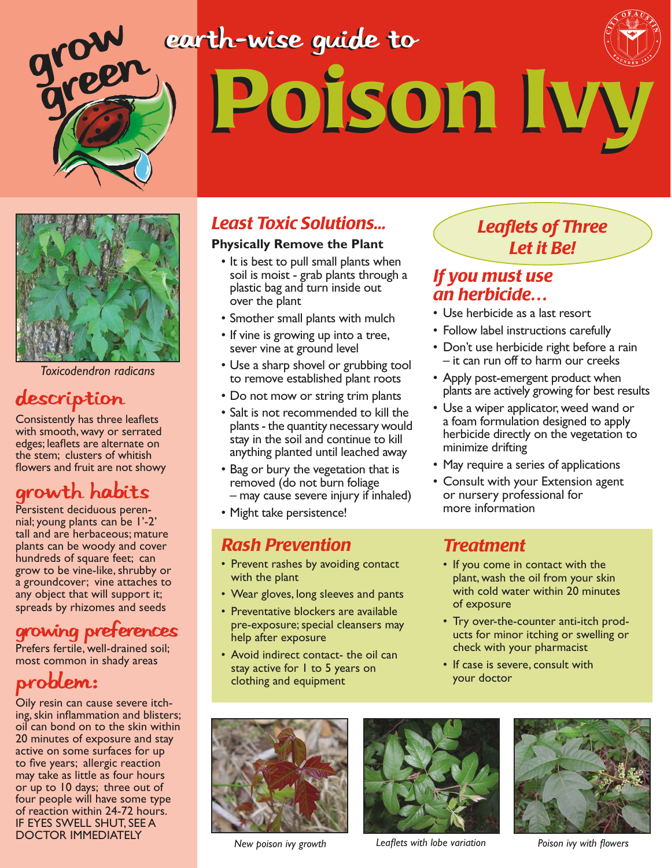# Poison Ivy Poison Ivy earth-wise guide to



*Toxicodendron radicans*

#### description

Consistently has three leaflets with smooth, wavy or serrated edges; leaflets are alternate on the stem; clusters of whitish flowers and fruit are not showy

### Growth habits

Persistent deciduous perennial; young plants can be 1'-2' tall and are herbaceous; mature plants can be woody and cover hundreds of square feet; can grow to be vine-like, shrubby or a groundcover; vine attaches to any object that will support it; spreads by rhizomes and seeds

#### Growing Preferences

Prefers fertile, well-drained soil; most common in shady areas

### Problem:

Oily resin can cause severe itching, skin inflammation and blisters; oil can bond on to the skin within 20 minutes of exposure and stay active on some surfaces for up to five years; allergic reaction may take as little as four hours or up to 10 days; three out of four people will have some type of reaction within 24-72 hours. IF EYES SWELL SHUT, SEE A **DOCTOR IMMEDIATELY** *New poison ivy growth Leaflets with lobe variation Poison ivy with flowers* 

#### *Least Toxic Solutions...*

#### **Physically Remove the Plant**

- It is best to pull small plants when soil is moist - grab plants through a plastic bag and turn inside out over the plant
- Smother small plants with mulch
- If vine is growing up into a tree, sever vine at ground level
- Use a sharp shovel or grubbing tool to remove established plant roots
- Do not mow or string trim plants
- Salt is not recommended to kill the plants - the quantity necessary would stay in the soil and continue to kill anything planted until leached away
- Bag or bury the vegetation that is removed (do not burn foliage – may cause severe injury if inhaled)
- Might take persistence!

#### *Rash Prevention*

- Prevent rashes by avoiding contact with the plant
- Wear gloves, long sleeves and pants
- Preventative blockers are available pre-exposure; special cleansers may help after exposure
- Avoid indirect contact- the oil can stay active for 1 to 5 years on clothing and equipment

#### *Leaflets of Three Let it Be!*

#### *If you must use an herbicide…*

- Use herbicide as a last resort
- Follow label instructions carefully
- Don't use herbicide right before a rain – it can run off to harm our creeks
- Apply post-emergent product when plants are actively growing for best results
- Use a wiper applicator, weed wand or a foam formulation designed to apply herbicide directly on the vegetation to minimize drifting
- May require a series of applications
- Consult with your Extension agent or nursery professional for more information

#### *Treatment*

- If you come in contact with the plant, wash the oil from your skin with cold water within 20 minutes of exposure
- Try over-the-counter anti-itch products for minor itching or swelling or check with your pharmacist
- If case is severe, consult with your doctor



*New poison ivy growth*